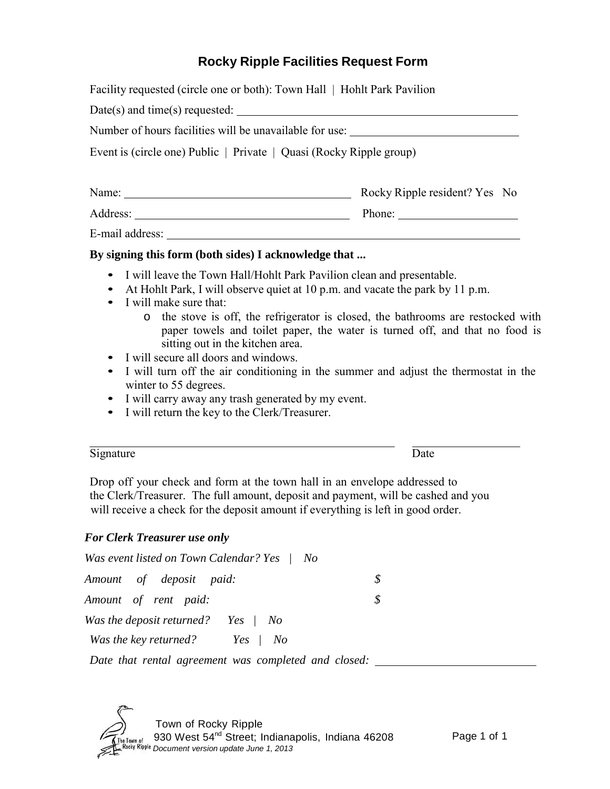# **Rocky Ripple Facilities Request Form**

| Facility requested (circle one or both): Town Hall   Hohlt Park Pavilion |                               |
|--------------------------------------------------------------------------|-------------------------------|
|                                                                          |                               |
| Number of hours facilities will be unavailable for use:                  |                               |
| Event is (circle one) Public   Private   Quasi (Rocky Ripple group)      |                               |
| Name:                                                                    | Rocky Ripple resident? Yes No |
|                                                                          | Phone: $\qquad \qquad$        |
| E-mail address:                                                          |                               |

#### **By signing this form (both sides) I acknowledge that ...**

- I will leave the Town Hall/Hohlt Park Pavilion clean and presentable.
- At Hohlt Park, I will observe quiet at 10 p.m. and vacate the park by 11 p.m.
- I will make sure that:
	- o the stove is off, the refrigerator is closed, the bathrooms are restocked with paper towels and toilet paper, the water is turned off, and that no food is sitting out in the kitchen area.
- I will secure all doors and windows.
- I will turn off the air conditioning in the summer and adjust the thermostat in the winter to 55 degrees.
- I will carry away any trash generated by my event.
- I will return the key to the Clerk/Treasurer.

| Signature | Jale |
|-----------|------|

Drop off your check and form at the town hall in an envelope addressed to the Clerk/Treasurer. The full amount, deposit and payment, will be cashed and you will receive a check for the deposit amount if everything is left in good order.

### *For Clerk Treasurer use only*

*Was event listed on Town Calendar? Yes | No*

| Amount of deposit paid: |                                       |  |
|-------------------------|---------------------------------------|--|
| Amount of rent paid:    |                                       |  |
|                         | Was the deposit returned? Yes $/$ No  |  |
|                         | <i>Was the key returned? Yes   No</i> |  |

*Date that rental agreement was completed and closed:*